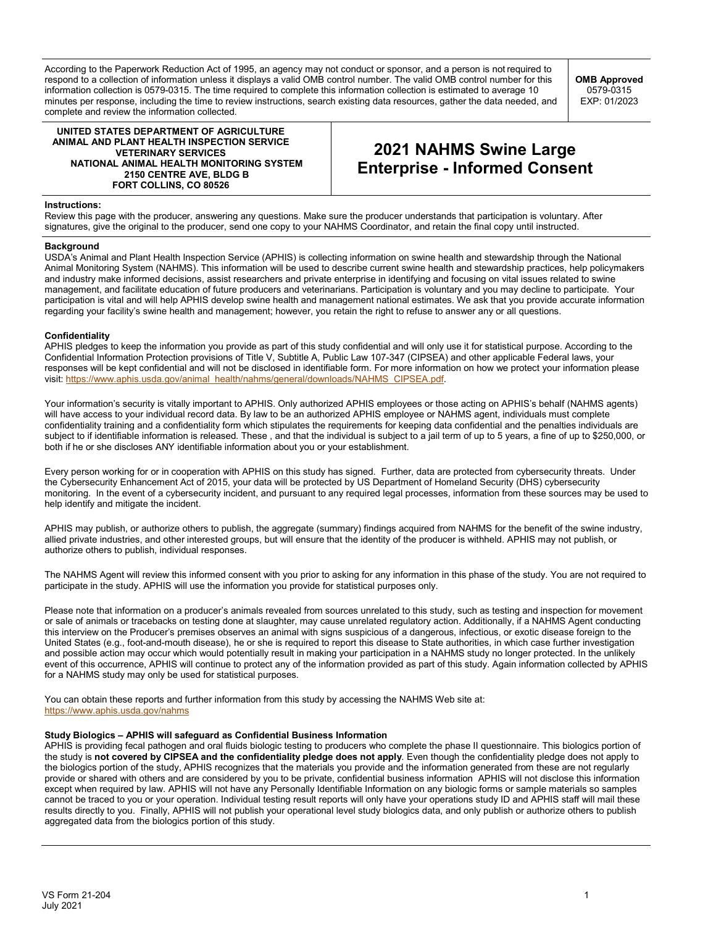According to the Paperwork Reduction Act of 1995, an agency may not conduct or sponsor, and a person is not required to respond to a collection of information unless it displays a valid OMB control number. The valid OMB control number for this information collection is 0579-0315. The time required to complete this information collection is estimated to average 10 minutes per response, including the time to review instructions, search existing data resources, gather the data needed, and complete and review the information collected.

**OMB Approved** 0579-0315 EXP: 01/2023

**UNITED STATES DEPARTMENT OF AGRICULTURE ANIMAL AND PLANT HEALTH INSPECTION SERVICE VETERINARY SERVICES NATIONAL ANIMAL HEALTH MONITORING SYSTEM 2150 CENTRE AVE, BLDG B FORT COLLINS, CO 80526**

# **2021 NAHMS Swine Large Enterprise - Informed Consent**

### **Instructions:**

Review this page with the producer, answering any questions. Make sure the producer understands that participation is voluntary. After signatures, give the original to the producer, send one copy to your NAHMS Coordinator, and retain the final copy until instructed.

#### **Background**

USDA's Animal and Plant Health Inspection Service (APHIS) is collecting information on swine health and stewardship through the National Animal Monitoring System (NAHMS). This information will be used to describe current swine health and stewardship practices, help policymakers and industry make informed decisions, assist researchers and private enterprise in identifying and focusing on vital issues related to swine management, and facilitate education of future producers and veterinarians. Participation is voluntary and you may decline to participate. Your participation is vital and will help APHIS develop swine health and management national estimates. We ask that you provide accurate information regarding your facility's swine health and management; however, you retain the right to refuse to answer any or all questions.

## **Confidentiality**

APHIS pledges to keep the information you provide as part of this study confidential and will only use it for statistical purpose. According to the Confidential Information Protection provisions of Title V, Subtitle A, Public Law 107-347 (CIPSEA) and other applicable Federal laws, your responses will be kept confidential and will not be disclosed in identifiable form. For more information on how we protect your information please visit: [https://www.aphis.usda.gov/animal\\_health/nahms/general/downloads/NAHMS\\_CIPSEA.pdf.](https://www.aphis.usda.gov/animal_health/nahms/general/downloads/NAHMS_CIPSEA.pdf)

Your information's security is vitally important to APHIS. Only authorized APHIS employees or those acting on APHIS's behalf (NAHMS agents) will have access to your individual record data. By law to be an authorized APHIS employee or NAHMS agent, individuals must complete confidentiality training and a confidentiality form which stipulates the requirements for keeping data confidential and the penalties individuals are subject to if identifiable information is released. These , and that the individual is subject to a jail term of up to 5 years, a fine of up to \$250,000, or both if he or she discloses ANY identifiable information about you or your establishment.

Every person working for or in cooperation with APHIS on this study has signed. Further, data are protected from cybersecurity threats. Under the Cybersecurity Enhancement Act of 2015, your data will be protected by US Department of Homeland Security (DHS) cybersecurity monitoring. In the event of a cybersecurity incident, and pursuant to any required legal processes, information from these sources may be used to help identify and mitigate the incident.

APHIS may publish, or authorize others to publish, the aggregate (summary) findings acquired from NAHMS for the benefit of the swine industry, allied private industries, and other interested groups, but will ensure that the identity of the producer is withheld. APHIS may not publish, or authorize others to publish, individual responses.

The NAHMS Agent will review this informed consent with you prior to asking for any information in this phase of the study. You are not required to participate in the study. APHIS will use the information you provide for statistical purposes only.

Please note that information on a producer's animals revealed from sources unrelated to this study, such as testing and inspection for movement or sale of animals or tracebacks on testing done at slaughter, may cause unrelated regulatory action. Additionally, if a NAHMS Agent conducting this interview on the Producer's premises observes an animal with signs suspicious of a dangerous, infectious, or exotic disease foreign to the United States (e.g., foot-and-mouth disease), he or she is required to report this disease to State authorities, in which case further investigation and possible action may occur which would potentially result in making your participation in a NAHMS study no longer protected. In the unlikely event of this occurrence, APHIS will continue to protect any of the information provided as part of this study. Again information collected by APHIS for a NAHMS study may only be used for statistical purposes.

You can obtain these reports and further information from this study by accessing the NAHMS Web site at: <https://www.aphis.usda.gov/nahms>

#### **Study Biologics – APHIS will safeguard as Confidential Business Information**

APHIS is providing fecal pathogen and oral fluids biologic testing to producers who complete the phase II questionnaire. This biologics portion of the study is **not covered by CIPSEA and the confidentiality pledge does not apply**. Even though the confidentiality pledge does not apply to the biologics portion of the study, APHIS recognizes that the materials you provide and the information generated from these are not regularly provide or shared with others and are considered by you to be private, confidential business information APHIS will not disclose this information except when required by law. APHIS will not have any Personally Identifiable Information on any biologic forms or sample materials so samples cannot be traced to you or your operation. Individual testing result reports will only have your operations study ID and APHIS staff will mail these results directly to you. Finally, APHIS will not publish your operational level study biologics data, and only publish or authorize others to publish aggregated data from the biologics portion of this study.